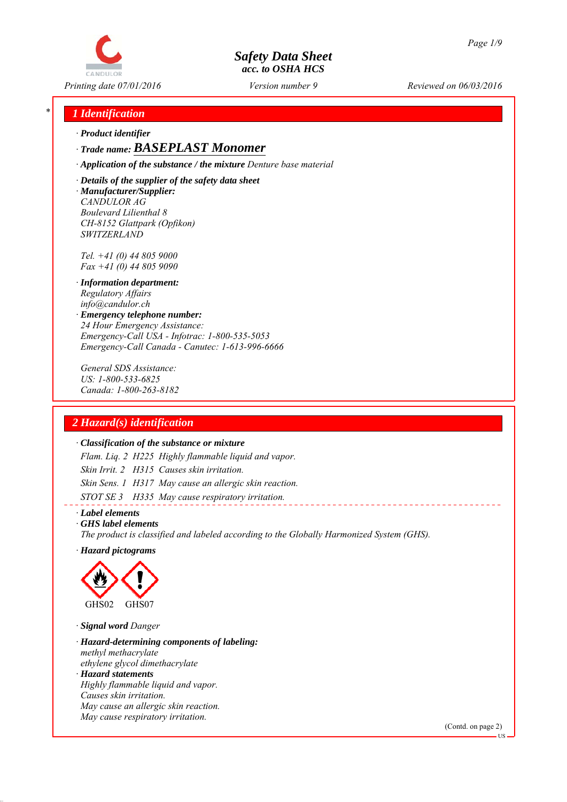

*Printing date 07/01/2016 Reviewed on 06/03/2016 Version number 9*

## *\* 1 Identification*

*∙ Product identifier*

*∙ Trade name: BASEPLAST Monomer*

*∙ Application of the substance / the mixture Denture base material*

*∙ Details of the supplier of the safety data sheet ∙ Manufacturer/Supplier: CANDULOR AG Boulevard Lilienthal 8 CH-8152 Glattpark (Opfikon) SWITZERLAND*

*Tel. +41 (0) 44 805 9000 Fax +41 (0) 44 805 9090*

- *∙ Information department: Regulatory Affairs info@candulor.ch*
- *∙ Emergency telephone number: 24 Hour Emergency Assistance: Emergency-Call USA - Infotrac: 1-800-535-5053 Emergency-Call Canada - Canutec: 1-613-996-6666*

*General SDS Assistance: US: 1-800-533-6825 Canada: 1-800-263-8182*

## *2 Hazard(s) identification*

#### *∙ Classification of the substance or mixture*

*Flam. Liq. 2 H225 Highly flammable liquid and vapor. Skin Irrit. 2 H315 Causes skin irritation. Skin Sens. 1 H317 May cause an allergic skin reaction. STOT SE 3 H335 May cause respiratory irritation.*

*∙ Label elements*

*∙ GHS label elements*

*The product is classified and labeled according to the Globally Harmonized System (GHS).*

*∙ Hazard pictograms*



*∙ Signal word Danger*

- *∙ Hazard-determining components of labeling: methyl methacrylate ethylene glycol dimethacrylate*
- *∙ Hazard statements Highly flammable liquid and vapor. Causes skin irritation. May cause an allergic skin reaction. May cause respiratory irritation.*

(Contd. on page 2)

US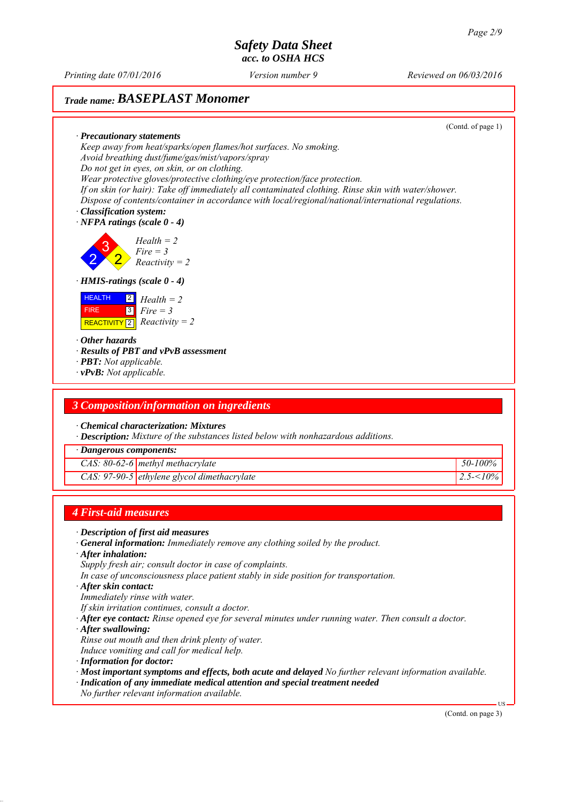2

FIRE

*Printing date 07/01/2016 Reviewed on 06/03/2016 Version number 9*

(Contd. of page 1)

# *Trade name: BASEPLAST Monomer*

*∙ Precautionary statements Keep away from heat/sparks/open flames/hot surfaces. No smoking. Avoid breathing dust/fume/gas/mist/vapors/spray Do not get in eyes, on skin, or on clothing. Wear protective gloves/protective clothing/eye protection/face protection. If on skin (or hair): Take off immediately all contaminated clothing. Rinse skin with water/shower. Dispose of contents/container in accordance with local/regional/national/international regulations. ∙ Classification system: ∙ NFPA ratings (scale 0 - 4)* 3 2 *Health = 2 Fire = 3 Reactivity = 2 ∙ HMIS-ratings (scale 0 - 4)* **HEALTH**  $\boxed{\text{REACTIVITY} \boxed{2}}$  *Reactivity = 2* 2 *Health = 2* 3 *Fire = 3 ∙ Other hazards ∙ Results of PBT and vPvB assessment ∙ PBT: Not applicable. ∙ vPvB: Not applicable.*

#### *3 Composition/information on ingredients*

*∙ Chemical characterization: Mixtures*

*∙ Description: Mixture of the substances listed below with nonhazardous additions.*

*∙ Dangerous components:*

*CAS: 80-62-6 methyl methacrylate 50-100%*

*CAS: 97-90-5 ethylene glycol dimethacrylate 2.5-<10%*

#### *4 First-aid measures*

- *∙ Description of first aid measures*
- *∙ General information: Immediately remove any clothing soiled by the product.*
- *∙ After inhalation:*
- *Supply fresh air; consult doctor in case of complaints.*
- *In case of unconsciousness place patient stably in side position for transportation.*
- *∙ After skin contact:*
- *Immediately rinse with water.*
- *If skin irritation continues, consult a doctor.*
- *∙ After eye contact: Rinse opened eye for several minutes under running water. Then consult a doctor.*
- *∙ After swallowing:*
- *Rinse out mouth and then drink plenty of water.*
- *Induce vomiting and call for medical help.*
- *∙ Information for doctor:*
- *∙ Most important symptoms and effects, both acute and delayed No further relevant information available.*
- *∙ Indication of any immediate medical attention and special treatment needed*
- *No further relevant information available.*

(Contd. on page 3)

US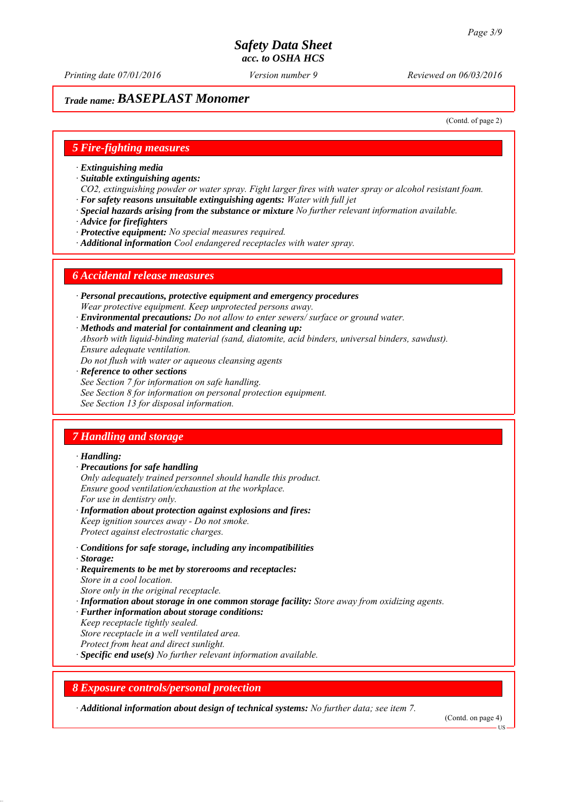*Printing date 07/01/2016 Reviewed on 06/03/2016 Version number 9*

## *Trade name: BASEPLAST Monomer*

(Contd. of page 2)

#### *5 Fire-fighting measures*

- *∙ Extinguishing media*
- *∙ Suitable extinguishing agents:*
- *CO2, extinguishing powder or water spray. Fight larger fires with water spray or alcohol resistant foam. ∙ For safety reasons unsuitable extinguishing agents: Water with full jet*
- *∙ Special hazards arising from the substance or mixture No further relevant information available.*
- *∙ Advice for firefighters*
- *∙ Protective equipment: No special measures required.*
- *∙ Additional information Cool endangered receptacles with water spray.*

#### *6 Accidental release measures*

- *∙ Personal precautions, protective equipment and emergency procedures Wear protective equipment. Keep unprotected persons away.*
- *∙ Environmental precautions: Do not allow to enter sewers/ surface or ground water.*
- *∙ Methods and material for containment and cleaning up:*
- *Absorb with liquid-binding material (sand, diatomite, acid binders, universal binders, sawdust). Ensure adequate ventilation.*
- *Do not flush with water or aqueous cleansing agents*
- *∙ Reference to other sections*
- *See Section 7 for information on safe handling.*
- *See Section 8 for information on personal protection equipment.*
- *See Section 13 for disposal information.*

#### *7 Handling and storage*

#### *∙ Handling:*

- *∙ Precautions for safe handling*
- *Only adequately trained personnel should handle this product. Ensure good ventilation/exhaustion at the workplace. For use in dentistry only.*
- *∙ Information about protection against explosions and fires: Keep ignition sources away - Do not smoke. Protect against electrostatic charges.*
- *∙ Conditions for safe storage, including any incompatibilities*
- *∙ Storage:*
- *∙ Requirements to be met by storerooms and receptacles: Store in a cool location. Store only in the original receptacle.*
- *∙ Information about storage in one common storage facility: Store away from oxidizing agents.*
- *∙ Further information about storage conditions:*
- *Keep receptacle tightly sealed.*
- *Store receptacle in a well ventilated area.*
- *Protect from heat and direct sunlight.*
- *∙ Specific end use(s) No further relevant information available.*

### *8 Exposure controls/personal protection*

*∙ Additional information about design of technical systems: No further data; see item 7.*

(Contd. on page 4)

**HS**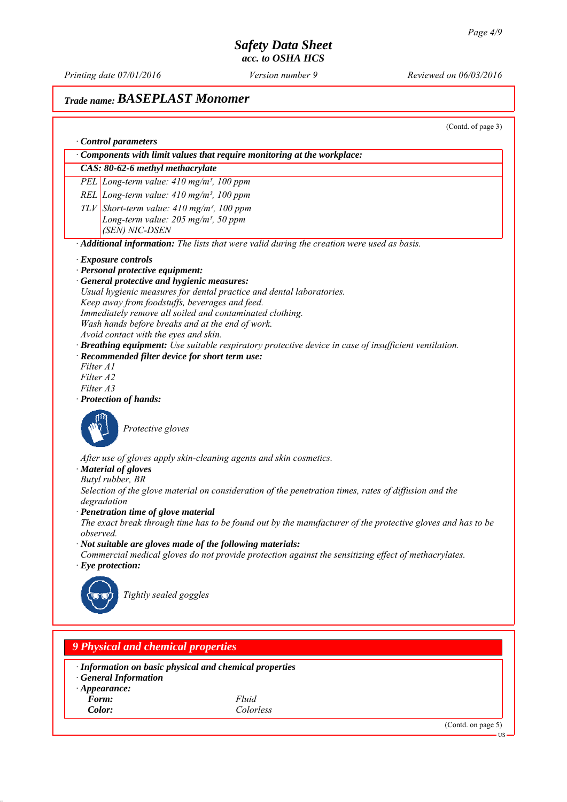*Printing date 07/01/2016 Reviewed on 06/03/2016 Version number 9*

# *Trade name: BASEPLAST Monomer*

(Contd. of page 3)

|                                                         | Components with limit values that require monitoring at the workplace:                                      |
|---------------------------------------------------------|-------------------------------------------------------------------------------------------------------------|
| CAS: 80-62-6 methyl methacrylate                        |                                                                                                             |
| PEL Long-term value: $410$ mg/m <sup>3</sup> , 100 ppm  |                                                                                                             |
| REL Long-term value: $410$ mg/m <sup>3</sup> , 100 ppm  |                                                                                                             |
| $TLV$ Short-term value: 410 mg/m <sup>3</sup> , 100 ppm |                                                                                                             |
| Long-term value: $205$ mg/m <sup>3</sup> , 50 ppm       |                                                                                                             |
| (SEN) NIC-DSEN                                          |                                                                                                             |
|                                                         | · Additional information: The lists that were valid during the creation were used as basis.                 |
|                                                         |                                                                                                             |
| · Exposure controls<br>· Personal protective equipment: |                                                                                                             |
| · General protective and hygienic measures:             |                                                                                                             |
|                                                         | Usual hygienic measures for dental practice and dental laboratories.                                        |
| Keep away from foodstuffs, beverages and feed.          |                                                                                                             |
|                                                         | Immediately remove all soiled and contaminated clothing.                                                    |
|                                                         | Wash hands before breaks and at the end of work.                                                            |
| Avoid contact with the eyes and skin.                   |                                                                                                             |
|                                                         | · Breathing equipment: Use suitable respiratory protective device in case of insufficient ventilation.      |
| · Recommended filter device for short term use:         |                                                                                                             |
| Filter A1                                               |                                                                                                             |
| Filter A2                                               |                                                                                                             |
| Filter A3                                               |                                                                                                             |
| · Protection of hands:                                  |                                                                                                             |
| Protective gloves                                       |                                                                                                             |
|                                                         | After use of gloves apply skin-cleaning agents and skin cosmetics.                                          |
| · Material of gloves                                    |                                                                                                             |
| Butyl rubber, BR                                        |                                                                                                             |
|                                                         | Selection of the glove material on consideration of the penetration times, rates of diffusion and the       |
| degradation                                             |                                                                                                             |
| · Penetration time of glove material                    |                                                                                                             |
| observed.                                               | The exact break through time has to be found out by the manufacturer of the protective gloves and has to be |
|                                                         | · Not suitable are gloves made of the following materials:                                                  |
|                                                         | Commercial medical gloves do not provide protection against the sensitizing effect of methacrylates.        |
| $\cdot$ Eye protection:                                 |                                                                                                             |
|                                                         |                                                                                                             |
| Tightly sealed goggles                                  |                                                                                                             |
|                                                         |                                                                                                             |
|                                                         |                                                                                                             |
|                                                         |                                                                                                             |
| <b>9 Physical and chemical properties</b>               |                                                                                                             |
|                                                         |                                                                                                             |
|                                                         | · Information on basic physical and chemical properties                                                     |
| <b>General Information</b>                              |                                                                                                             |
| $\cdot$ Appearance:                                     |                                                                                                             |
| Form:                                                   | Fluid                                                                                                       |
| Color:                                                  | Colorless                                                                                                   |
|                                                         | (Contd. on page 5)                                                                                          |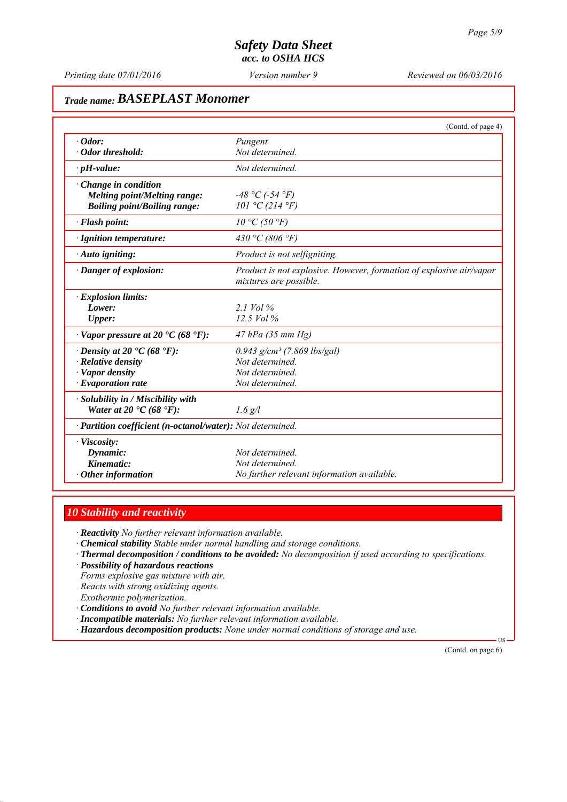*Printing date 07/01/2016 Reviewed on 06/03/2016 Version number 9*

# *Trade name: BASEPLAST Monomer*

|                                                            | (Contd. of page 4)                                                                            |
|------------------------------------------------------------|-----------------------------------------------------------------------------------------------|
| $\cdot$ Odor:                                              | Pungent                                                                                       |
| Odor threshold:                                            | Not determined.                                                                               |
| $\cdot$ pH-value:                                          | Not determined.                                                                               |
| $\cdot$ Change in condition                                |                                                                                               |
| <b>Melting point/Melting range:</b>                        | $-48 °C$ (-54 $°F$ )                                                                          |
| <b>Boiling point/Boiling range:</b>                        | 101 °C (214 °F)                                                                               |
| · Flash point:                                             | $10 \degree C$ (50 $\degree F$ )                                                              |
| · Ignition temperature:                                    | 430 °C (806 °F)                                                                               |
| · Auto igniting:                                           | Product is not selfigniting.                                                                  |
| · Danger of explosion:                                     | Product is not explosive. However, formation of explosive air/vapor<br>mixtures are possible. |
| $\cdot$ Explosion limits:                                  |                                                                                               |
| Lower:                                                     | 2.1 Vol $\%$                                                                                  |
| <b>Upper:</b>                                              | $12.5$ Vol $\%$                                                                               |
| $\cdot$ Vapor pressure at 20 $\cdot$ C (68 $\cdot$ F):     | $47$ hPa (35 mm Hg)                                                                           |
| $\cdot$ Density at 20 $\cdot$ C (68 $\cdot$ F):            | $0.943$ g/cm <sup>3</sup> (7.869 lbs/gal)                                                     |
| $\cdot$ Relative density                                   | Not determined.                                                                               |
| · Vapor density                                            | Not determined.                                                                               |
| $\cdot$ Evaporation rate                                   | Not determined.                                                                               |
| · Solubility in / Miscibility with                         |                                                                                               |
| Water at 20 $\textdegree$ C (68 $\textdegree$ F):          | $1.6$ g/l                                                                                     |
| · Partition coefficient (n-octanol/water): Not determined. |                                                                                               |
| · Viscosity:                                               |                                                                                               |
| Dynamic:                                                   | Not determined.                                                                               |
| Kinematic:                                                 | Not determined.                                                                               |
| $\cdot$ Other information                                  | No further relevant information available.                                                    |

### *10 Stability and reactivity*

*∙ Reactivity No further relevant information available.*

- *∙ Chemical stability Stable under normal handling and storage conditions.*
- *∙ Thermal decomposition / conditions to be avoided: No decomposition if used according to specifications.*
- *∙ Possibility of hazardous reactions*

*Forms explosive gas mixture with air. Reacts with strong oxidizing agents. Exothermic polymerization.*

- *∙ Conditions to avoid No further relevant information available.*
- *∙ Incompatible materials: No further relevant information available.*
- *∙ Hazardous decomposition products: None under normal conditions of storage and use.*

(Contd. on page 6)

US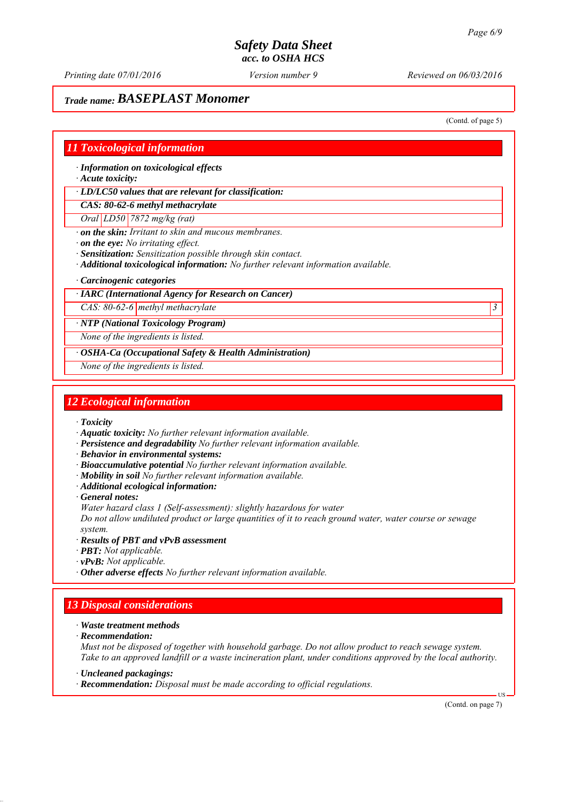*Printing date 07/01/2016 Reviewed on 06/03/2016 Version number 9*

# *Trade name: BASEPLAST Monomer*

(Contd. of page 5)

### *11 Toxicological information*

*∙ Information on toxicological effects*

*∙ Acute toxicity:*

*∙ LD/LC50 values that are relevant for classification:*

*CAS: 80-62-6 methyl methacrylate*

*Oral LD50 7872 mg/kg (rat)*

*∙ on the skin: Irritant to skin and mucous membranes.*

*∙ on the eye: No irritating effect.*

*∙ Sensitization: Sensitization possible through skin contact.*

*∙ Additional toxicological information: No further relevant information available.*

*∙ Carcinogenic categories*

#### *∙ IARC (International Agency for Research on Cancer)*

*CAS: 80-62-6 methyl methacrylate 3* 

*∙ NTP (National Toxicology Program)*

*None of the ingredients is listed.*

*∙ OSHA-Ca (Occupational Safety & Health Administration)*

*None of the ingredients is listed.*

#### *12 Ecological information*

*∙ Toxicity*

- *∙ Aquatic toxicity: No further relevant information available.*
- *∙ Persistence and degradability No further relevant information available.*
- *∙ Behavior in environmental systems:*
- *∙ Bioaccumulative potential No further relevant information available.*
- *∙ Mobility in soil No further relevant information available.*
- *∙ Additional ecological information:*
- *∙ General notes:*

*Water hazard class 1 (Self-assessment): slightly hazardous for water*

*Do not allow undiluted product or large quantities of it to reach ground water, water course or sewage system.*

- *∙ Results of PBT and vPvB assessment*
- *∙ PBT: Not applicable.*
- *∙ vPvB: Not applicable.*
- *∙ Other adverse effects No further relevant information available.*

## *13 Disposal considerations*

- *∙ Waste treatment methods*
- *∙ Recommendation:*

*Must not be disposed of together with household garbage. Do not allow product to reach sewage system. Take to an approved landfill or a waste incineration plant, under conditions approved by the local authority.*

*∙ Uncleaned packagings:*

*∙ Recommendation: Disposal must be made according to official regulations.*

(Contd. on page 7)

US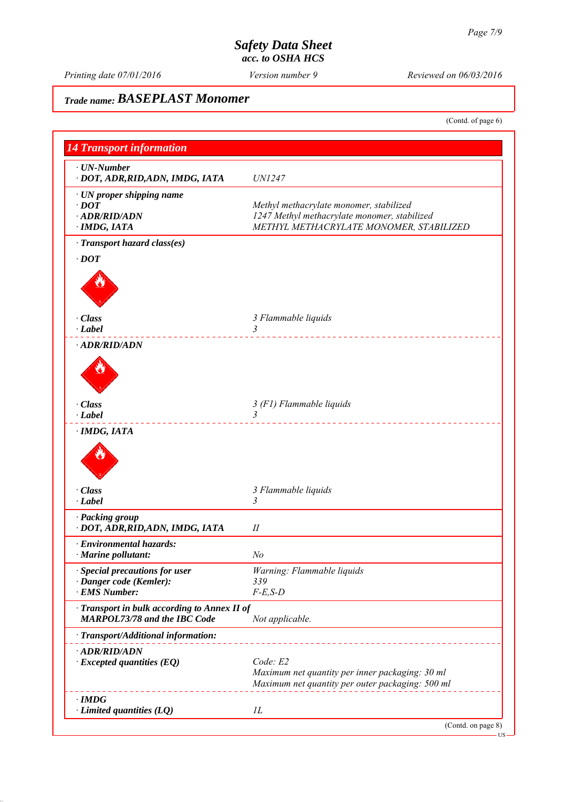*Printing date 07/01/2016 Reviewed on 06/03/2016 Version number 9*

# *Trade name: BASEPLAST Monomer*

(Contd. of page 6)

| <b>14 Transport information</b>                                                     |                                                  |
|-------------------------------------------------------------------------------------|--------------------------------------------------|
| $\cdot$ UN-Number                                                                   |                                                  |
| · DOT, ADR, RID, ADN, IMDG, IATA                                                    | <i>UN1247</i>                                    |
| $\cdot$ UN proper shipping name                                                     |                                                  |
| $\cdot$ <i>DOT</i>                                                                  | Methyl methacrylate monomer, stabilized          |
| · ADR/RID/ADN                                                                       | 1247 Methyl methacrylate monomer, stabilized     |
| · IMDG, IATA                                                                        | METHYL METHACRYLATE MONOMER, STABILIZED          |
| · Transport hazard class(es)                                                        |                                                  |
| $\cdot$ DOT                                                                         |                                                  |
|                                                                                     |                                                  |
| · Class                                                                             | 3 Flammable liquids                              |
| $\cdot$ Label                                                                       | 3<br>____________________                        |
| · ADR/RID/ADN                                                                       |                                                  |
|                                                                                     |                                                  |
| · Class                                                                             | 3 (F1) Flammable liquids                         |
| $\cdot$ Label                                                                       | $\overline{3}$                                   |
| · IMDG, IATA                                                                        |                                                  |
|                                                                                     |                                                  |
| · Class                                                                             | 3 Flammable liquids                              |
| $\cdot$ Label                                                                       | 3                                                |
| · Packing group                                                                     |                                                  |
| · DOT, ADR, RID, ADN, IMDG, IATA                                                    | П                                                |
| · Environmental hazards:                                                            |                                                  |
| Marine pollutant:                                                                   | No                                               |
| Special precautions for user                                                        | Warning: Flammable liquids                       |
| · Danger code (Kemler):                                                             | 339                                              |
| · EMS Number:                                                                       | $F-E$ , $S-D$                                    |
| · Transport in bulk according to Annex II of<br><b>MARPOL73/78 and the IBC Code</b> | Not applicable.                                  |
| · Transport/Additional information:                                                 |                                                  |
| · ADR/RID/ADN                                                                       |                                                  |
| $\cdot$ Excepted quantities (EQ)                                                    | Code: E2                                         |
|                                                                                     | Maximum net quantity per inner packaging: 30 ml  |
|                                                                                     | Maximum net quantity per outer packaging: 500 ml |
| $\cdot$ IMDG                                                                        |                                                  |
| $\cdot$ Limited quantities (LQ)                                                     | $_{1L}$                                          |
|                                                                                     | (Contd. on page 8)                               |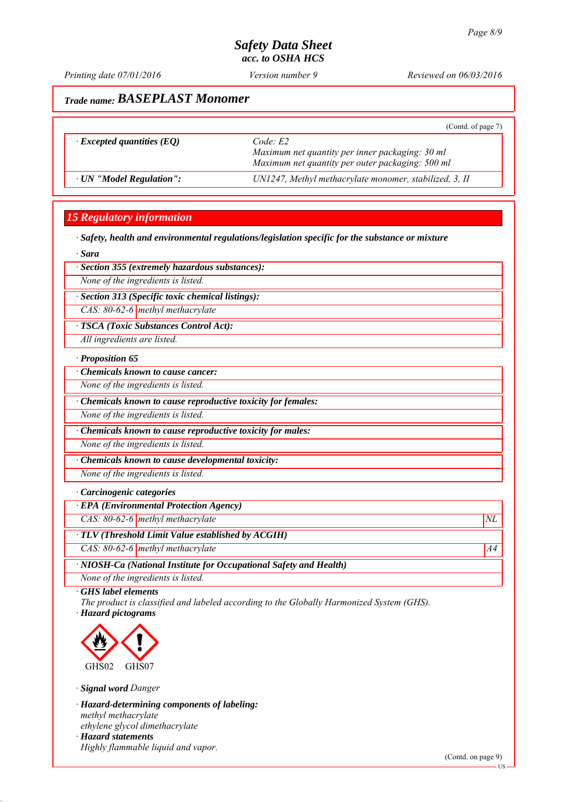*Printing date 07/01/2016 Reviewed on 06/03/2016 Version number 9*

# *Trade name: BASEPLAST Monomer*

|                                  | (Contd. of page 7)                                                                                             |
|----------------------------------|----------------------------------------------------------------------------------------------------------------|
| $\cdot$ Excepted quantities (EQ) | Code E2<br>Maximum net quantity per inner packaging: 30 ml<br>Maximum net quantity per outer packaging: 500 ml |
| · UN "Model Regulation":         | UN1247, Methyl methacrylate monomer, stabilized, 3, II                                                         |

## *15 Regulatory information*

*∙ Safety, health and environmental regulations/legislation specific for the substance or mixture*

*∙ Sara*

#### *∙ Section 355 (extremely hazardous substances):*

*None of the ingredients is listed.*

*∙ Section 313 (Specific toxic chemical listings):*

*CAS: 80-62-6 methyl methacrylate*

*∙ TSCA (Toxic Substances Control Act):*

*All ingredients are listed.*

#### *∙ Proposition 65*

*∙ Chemicals known to cause cancer:*

*None of the ingredients is listed.*

*∙ Chemicals known to cause reproductive toxicity for females:*

*None of the ingredients is listed.*

*∙ Chemicals known to cause reproductive toxicity for males:*

*None of the ingredients is listed.*

*∙ Chemicals known to cause developmental toxicity:*

*None of the ingredients is listed.*

#### *∙ Carcinogenic categories*

*∙ EPA (Environmental Protection Agency)*

*CAS: 80-62-6 methyl methacrylate*  $NL$ 

*∙ TLV (Threshold Limit Value established by ACGIH)*

*CAS: 80-62-6 methyl methacrylate* A4<sup>4</sup>

*∙ NIOSH-Ca (National Institute for Occupational Safety and Health)*

*None of the ingredients is listed.*

*∙ GHS label elements*

*The product is classified and labeled according to the Globally Harmonized System (GHS). ∙ Hazard pictograms*



*∙ Signal word Danger*

*∙ Hazard-determining components of labeling: methyl methacrylate ethylene glycol dimethacrylate ∙ Hazard statements Highly flammable liquid and vapor.*

(Contd. on page 9)